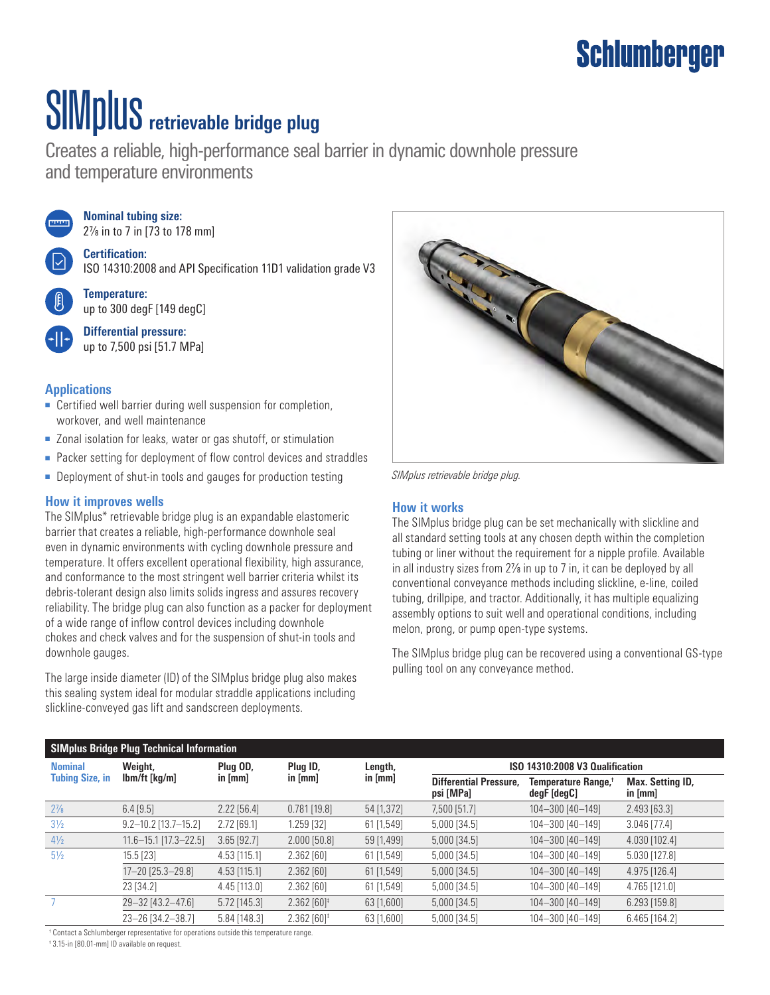### **Schlumberger**

# SIMplus **retrievable bridge plug**

Creates a reliable, high-performance seal barrier in dynamic downhole pressure and temperature environments



**Nominal tubing size:** 27/8 in to 7 in [73 to 178 mm]

**Certification:** ISO 14310:2008 and API Specification 11D1 validation grade V3



**Temperature:** up to 300 degF [149 degC]

**Differential pressure:** up to 7,500 psi [51.7 MPa]

#### **Applications**

- Certified well barrier during well suspension for completion, workover, and well maintenance
- Zonal isolation for leaks, water or gas shutoff, or stimulation
- Packer setting for deployment of flow control devices and straddles
- Deployment of shut-in tools and gauges for production testing

#### **How it improves wells**

The SIMplus\* retrievable bridge plug is an expandable elastomeric barrier that creates a reliable, high-performance downhole seal even in dynamic environments with cycling downhole pressure and temperature. It offers excellent operational flexibility, high assurance, and conformance to the most stringent well barrier criteria whilst its debris-tolerant design also limits solids ingress and assures recovery reliability. The bridge plug can also function as a packer for deployment of a wide range of inflow control devices including downhole chokes and check valves and for the suspension of shut-in tools and downhole gauges.

The large inside diameter (ID) of the SIMplus bridge plug also makes this sealing system ideal for modular straddle applications including slickline-conveyed gas lift and sandscreen deployments.



*SIMplus retrievable bridge plug.*

#### **How it works**

The SIMplus bridge plug can be set mechanically with slickline and all standard setting tools at any chosen depth within the completion tubing or liner without the requirement for a nipple profile. Available in all industry sizes from  $2\frac{y}{8}$  in up to 7 in, it can be deployed by all conventional conveyance methods including slickline, e-line, coiled tubing, drillpipe, and tractor. Additionally, it has multiple equalizing assembly options to suit well and operational conditions, including melon, prong, or pump open-type systems.

The SIMplus bridge plug can be recovered using a conventional GS-type pulling tool on any conveyance method.

| SIMplus Bridge Plug Technical Information |                            |                       |                             |                      |                                            |                                                |                               |
|-------------------------------------------|----------------------------|-----------------------|-----------------------------|----------------------|--------------------------------------------|------------------------------------------------|-------------------------------|
| <b>Nominal</b><br><b>Tubing Size, in</b>  | Weight,<br>$lbm/ft$ [kg/m] | Plug OD,<br>in $[mm]$ | Plug ID,<br>in [mm]         | Length,<br>in $[mm]$ | ISO 14310:2008 V3 Qualification            |                                                |                               |
|                                           |                            |                       |                             |                      | <b>Differential Pressure.</b><br>psi [MPa] | Temperature Range, <sup>†</sup><br>degF [degC] | Max. Setting ID,<br>in $[mm]$ |
| $2\frac{7}{8}$                            | $6.4$ [9.5]                | $2.22$ [56.4]         | $0.781$ [19.8]              | 54 [1,372]           | 7,500 [51.7]                               | 104-300 [40-149]                               | 2.493 [63.3]                  |
| $3\frac{1}{2}$                            | $9.2 - 10.2$ [13.7-15.2]   | 2.72 [69.1]           | 1.259 [32]                  | 61 [1,549]           | 5,000 [34.5]                               | 104-300 [40-149]                               | 3.046 [77.4]                  |
| $4\frac{1}{2}$                            | $11.6 - 15.1$ [17.3-22.5]  | $3.65$ [92.7]         | $2.000$ [50.8]              | 59 [1,499]           | $5,000$ [34.5]                             | 104-300 [40-149]                               | 4.030 [102.4]                 |
| $5\frac{1}{2}$                            | 15.5 [23]                  | 4.53 [115.1]          | 2.362 [60]                  | 61 [1,549]           | 5,000 [34.5]                               | 104-300 [40-149]                               | 5.030 [127.8]                 |
|                                           | 17-20 [25.3-29.8]          | 4.53 [115.1]          | 2.362[60]                   | $61$ [1,549]         | 5,000 [34.5]                               | 104-300 [40-149]                               | 4.975 [126.4]                 |
|                                           | 23 [34.2]                  | 4.45 [113.0]          | 2.362[60]                   | 61 [1,549]           | $5,000$ [34.5]                             | 104-300 [40-149]                               | 4.765 [121.0]                 |
|                                           | 29-32 [43.2-47.6]          | 5.72 [145.3]          | $2.362$ $[60]$ <sup>‡</sup> | 63 [1,600]           | 5,000 [34.5]                               | 104-300 [40-149]                               | 6.293 [159.8]                 |
|                                           | 23-26 [34.2-38.7]          | 5.84 [148.3]          | $2.362$ $[60]$ <sup>‡</sup> | 63 [1,600]           | 5,000 [34.5]                               | 104-300 [40-149]                               | 6.465 [164.2]                 |

† Contact a Schlumberger representative for operations outside this temperature range.

‡ 3.15-in [80.01-mm] ID available on request.